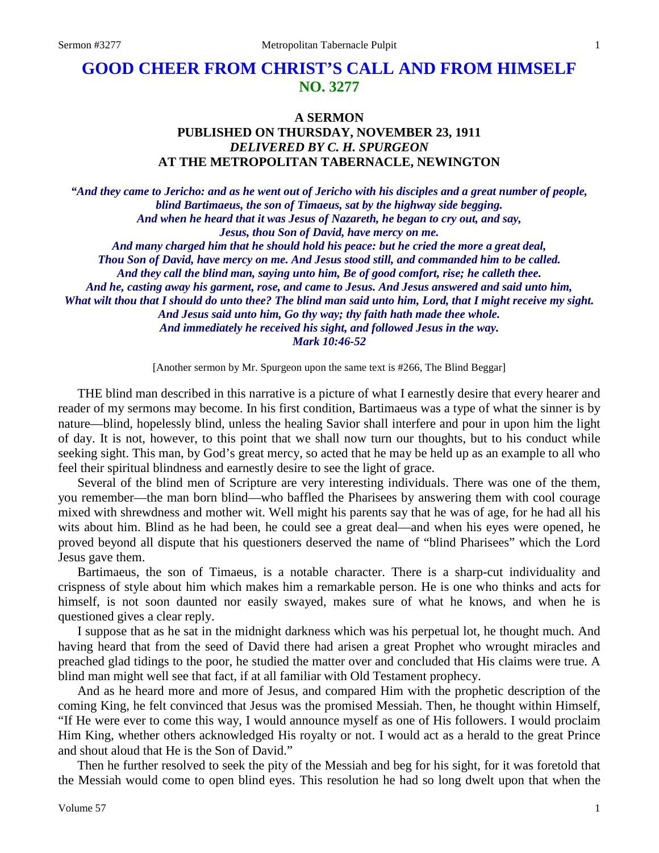# **GOOD CHEER FROM CHRIST'S CALL AND FROM HIMSELF NO. 3277**

# **A SERMON PUBLISHED ON THURSDAY, NOVEMBER 23, 1911** *DELIVERED BY C. H. SPURGEON* **AT THE METROPOLITAN TABERNACLE, NEWINGTON**

*"And they came to Jericho: and as he went out of Jericho with his disciples and a great number of people, blind Bartimaeus, the son of Timaeus, sat by the highway side begging. And when he heard that it was Jesus of Nazareth, he began to cry out, and say, Jesus, thou Son of David, have mercy on me. And many charged him that he should hold his peace: but he cried the more a great deal, Thou Son of David, have mercy on me. And Jesus stood still, and commanded him to be called. And they call the blind man, saying unto him, Be of good comfort, rise; he calleth thee. And he, casting away his garment, rose, and came to Jesus. And Jesus answered and said unto him, What wilt thou that I should do unto thee? The blind man said unto him, Lord, that I might receive my sight. And Jesus said unto him, Go thy way; thy faith hath made thee whole. And immediately he received his sight, and followed Jesus in the way. Mark 10:46-52*

[Another sermon by Mr. Spurgeon upon the same text is #266, The Blind Beggar]

THE blind man described in this narrative is a picture of what I earnestly desire that every hearer and reader of my sermons may become. In his first condition, Bartimaeus was a type of what the sinner is by nature—blind, hopelessly blind, unless the healing Savior shall interfere and pour in upon him the light of day. It is not, however, to this point that we shall now turn our thoughts, but to his conduct while seeking sight. This man, by God's great mercy, so acted that he may be held up as an example to all who feel their spiritual blindness and earnestly desire to see the light of grace.

Several of the blind men of Scripture are very interesting individuals. There was one of the them, you remember—the man born blind—who baffled the Pharisees by answering them with cool courage mixed with shrewdness and mother wit. Well might his parents say that he was of age, for he had all his wits about him. Blind as he had been, he could see a great deal—and when his eyes were opened, he proved beyond all dispute that his questioners deserved the name of "blind Pharisees" which the Lord Jesus gave them.

Bartimaeus, the son of Timaeus, is a notable character. There is a sharp-cut individuality and crispness of style about him which makes him a remarkable person. He is one who thinks and acts for himself, is not soon daunted nor easily swayed, makes sure of what he knows, and when he is questioned gives a clear reply.

I suppose that as he sat in the midnight darkness which was his perpetual lot, he thought much. And having heard that from the seed of David there had arisen a great Prophet who wrought miracles and preached glad tidings to the poor, he studied the matter over and concluded that His claims were true. A blind man might well see that fact, if at all familiar with Old Testament prophecy.

And as he heard more and more of Jesus, and compared Him with the prophetic description of the coming King, he felt convinced that Jesus was the promised Messiah. Then, he thought within Himself, "If He were ever to come this way, I would announce myself as one of His followers. I would proclaim Him King, whether others acknowledged His royalty or not. I would act as a herald to the great Prince and shout aloud that He is the Son of David."

Then he further resolved to seek the pity of the Messiah and beg for his sight, for it was foretold that the Messiah would come to open blind eyes. This resolution he had so long dwelt upon that when the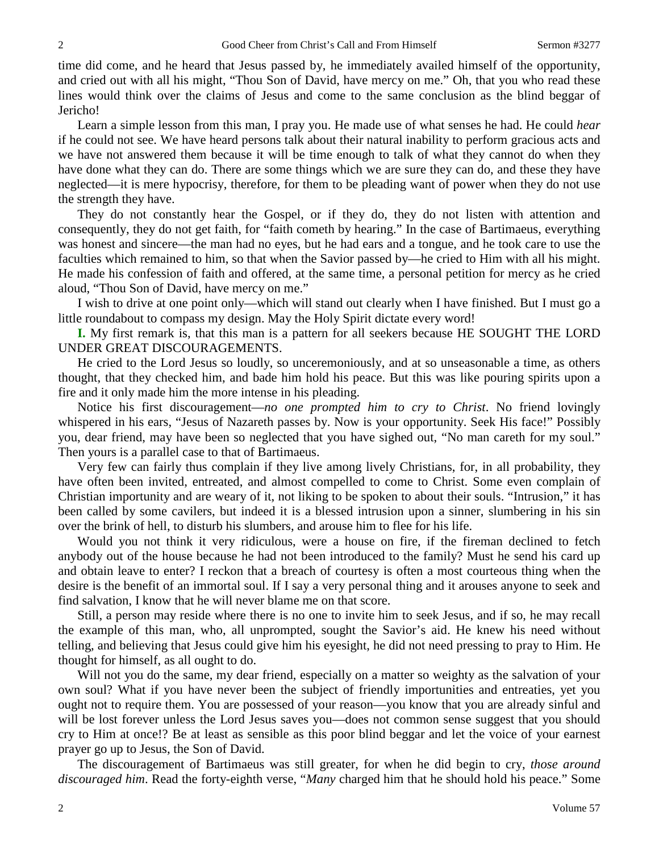time did come, and he heard that Jesus passed by, he immediately availed himself of the opportunity, and cried out with all his might, "Thou Son of David, have mercy on me." Oh, that you who read these lines would think over the claims of Jesus and come to the same conclusion as the blind beggar of Jericho!

Learn a simple lesson from this man, I pray you. He made use of what senses he had. He could *hear* if he could not see. We have heard persons talk about their natural inability to perform gracious acts and we have not answered them because it will be time enough to talk of what they cannot do when they have done what they can do. There are some things which we are sure they can do, and these they have neglected—it is mere hypocrisy, therefore, for them to be pleading want of power when they do not use the strength they have.

They do not constantly hear the Gospel, or if they do, they do not listen with attention and consequently, they do not get faith, for "faith cometh by hearing." In the case of Bartimaeus, everything was honest and sincere—the man had no eyes, but he had ears and a tongue, and he took care to use the faculties which remained to him, so that when the Savior passed by—he cried to Him with all his might. He made his confession of faith and offered, at the same time, a personal petition for mercy as he cried aloud, "Thou Son of David, have mercy on me."

I wish to drive at one point only—which will stand out clearly when I have finished. But I must go a little roundabout to compass my design. May the Holy Spirit dictate every word!

**I.** My first remark is, that this man is a pattern for all seekers because HE SOUGHT THE LORD UNDER GREAT DISCOURAGEMENTS.

He cried to the Lord Jesus so loudly, so unceremoniously, and at so unseasonable a time, as others thought, that they checked him, and bade him hold his peace. But this was like pouring spirits upon a fire and it only made him the more intense in his pleading.

Notice his first discouragement—*no one prompted him to cry to Christ*. No friend lovingly whispered in his ears, "Jesus of Nazareth passes by. Now is your opportunity. Seek His face!" Possibly you, dear friend, may have been so neglected that you have sighed out, "No man careth for my soul." Then yours is a parallel case to that of Bartimaeus.

Very few can fairly thus complain if they live among lively Christians, for, in all probability, they have often been invited, entreated, and almost compelled to come to Christ. Some even complain of Christian importunity and are weary of it, not liking to be spoken to about their souls. "Intrusion," it has been called by some cavilers, but indeed it is a blessed intrusion upon a sinner, slumbering in his sin over the brink of hell, to disturb his slumbers, and arouse him to flee for his life.

Would you not think it very ridiculous, were a house on fire, if the fireman declined to fetch anybody out of the house because he had not been introduced to the family? Must he send his card up and obtain leave to enter? I reckon that a breach of courtesy is often a most courteous thing when the desire is the benefit of an immortal soul. If I say a very personal thing and it arouses anyone to seek and find salvation, I know that he will never blame me on that score.

Still, a person may reside where there is no one to invite him to seek Jesus, and if so, he may recall the example of this man, who, all unprompted, sought the Savior's aid. He knew his need without telling, and believing that Jesus could give him his eyesight, he did not need pressing to pray to Him. He thought for himself, as all ought to do.

Will not you do the same, my dear friend, especially on a matter so weighty as the salvation of your own soul? What if you have never been the subject of friendly importunities and entreaties, yet you ought not to require them. You are possessed of your reason—you know that you are already sinful and will be lost forever unless the Lord Jesus saves you—does not common sense suggest that you should cry to Him at once!? Be at least as sensible as this poor blind beggar and let the voice of your earnest prayer go up to Jesus, the Son of David.

The discouragement of Bartimaeus was still greater, for when he did begin to cry, *those around discouraged him*. Read the forty-eighth verse, "*Many* charged him that he should hold his peace." Some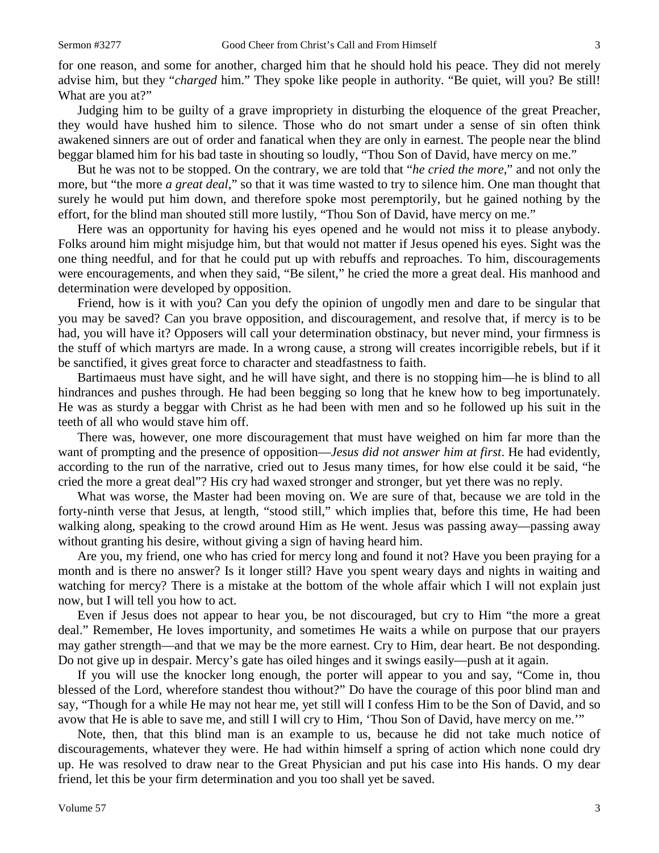for one reason, and some for another, charged him that he should hold his peace. They did not merely advise him, but they "*charged* him." They spoke like people in authority. "Be quiet, will you? Be still! What are you at?"

Judging him to be guilty of a grave impropriety in disturbing the eloquence of the great Preacher, they would have hushed him to silence. Those who do not smart under a sense of sin often think awakened sinners are out of order and fanatical when they are only in earnest. The people near the blind beggar blamed him for his bad taste in shouting so loudly, "Thou Son of David, have mercy on me."

But he was not to be stopped. On the contrary, we are told that "*he cried the more*," and not only the more, but "the more *a great deal*," so that it was time wasted to try to silence him. One man thought that surely he would put him down, and therefore spoke most peremptorily, but he gained nothing by the effort, for the blind man shouted still more lustily, "Thou Son of David, have mercy on me."

Here was an opportunity for having his eyes opened and he would not miss it to please anybody. Folks around him might misjudge him, but that would not matter if Jesus opened his eyes. Sight was the one thing needful, and for that he could put up with rebuffs and reproaches. To him, discouragements were encouragements, and when they said, "Be silent," he cried the more a great deal. His manhood and determination were developed by opposition.

Friend, how is it with you? Can you defy the opinion of ungodly men and dare to be singular that you may be saved? Can you brave opposition, and discouragement, and resolve that, if mercy is to be had, you will have it? Opposers will call your determination obstinacy, but never mind, your firmness is the stuff of which martyrs are made. In a wrong cause, a strong will creates incorrigible rebels, but if it be sanctified, it gives great force to character and steadfastness to faith.

Bartimaeus must have sight, and he will have sight, and there is no stopping him—he is blind to all hindrances and pushes through. He had been begging so long that he knew how to beg importunately. He was as sturdy a beggar with Christ as he had been with men and so he followed up his suit in the teeth of all who would stave him off.

There was, however, one more discouragement that must have weighed on him far more than the want of prompting and the presence of opposition—*Jesus did not answer him at first*. He had evidently, according to the run of the narrative, cried out to Jesus many times, for how else could it be said, "he cried the more a great deal"? His cry had waxed stronger and stronger, but yet there was no reply.

What was worse, the Master had been moving on. We are sure of that, because we are told in the forty-ninth verse that Jesus, at length, "stood still," which implies that, before this time, He had been walking along, speaking to the crowd around Him as He went. Jesus was passing away—passing away without granting his desire, without giving a sign of having heard him.

Are you, my friend, one who has cried for mercy long and found it not? Have you been praying for a month and is there no answer? Is it longer still? Have you spent weary days and nights in waiting and watching for mercy? There is a mistake at the bottom of the whole affair which I will not explain just now, but I will tell you how to act.

Even if Jesus does not appear to hear you, be not discouraged, but cry to Him "the more a great deal." Remember, He loves importunity, and sometimes He waits a while on purpose that our prayers may gather strength—and that we may be the more earnest. Cry to Him, dear heart. Be not desponding. Do not give up in despair. Mercy's gate has oiled hinges and it swings easily—push at it again.

If you will use the knocker long enough, the porter will appear to you and say, "Come in, thou blessed of the Lord, wherefore standest thou without?" Do have the courage of this poor blind man and say, "Though for a while He may not hear me, yet still will I confess Him to be the Son of David, and so avow that He is able to save me, and still I will cry to Him, 'Thou Son of David, have mercy on me.'"

Note, then, that this blind man is an example to us, because he did not take much notice of discouragements, whatever they were. He had within himself a spring of action which none could dry up. He was resolved to draw near to the Great Physician and put his case into His hands. O my dear friend, let this be your firm determination and you too shall yet be saved.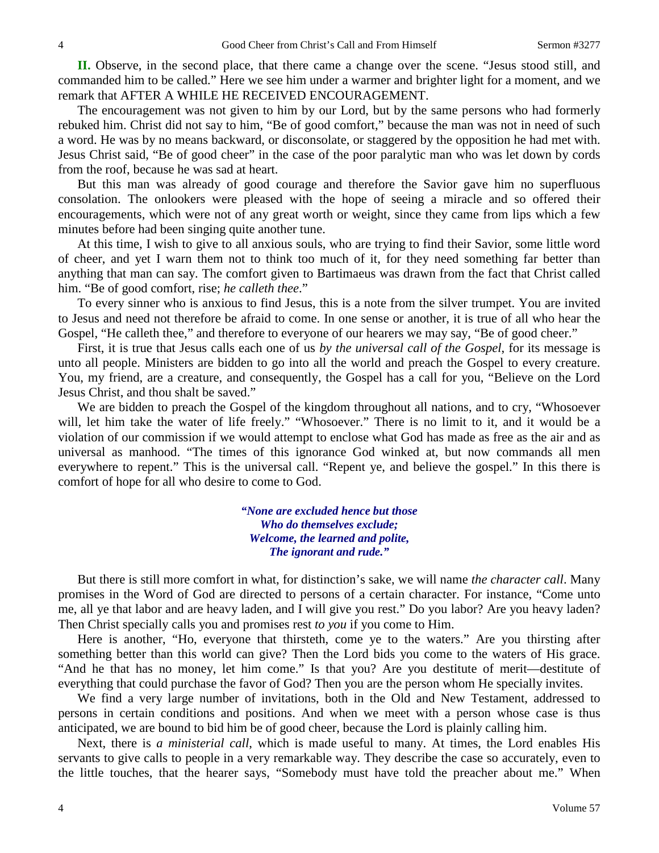**II.** Observe, in the second place, that there came a change over the scene. "Jesus stood still, and commanded him to be called." Here we see him under a warmer and brighter light for a moment, and we remark that AFTER A WHILE HE RECEIVED ENCOURAGEMENT.

The encouragement was not given to him by our Lord, but by the same persons who had formerly rebuked him. Christ did not say to him, "Be of good comfort," because the man was not in need of such a word. He was by no means backward, or disconsolate, or staggered by the opposition he had met with. Jesus Christ said, "Be of good cheer" in the case of the poor paralytic man who was let down by cords from the roof, because he was sad at heart.

But this man was already of good courage and therefore the Savior gave him no superfluous consolation. The onlookers were pleased with the hope of seeing a miracle and so offered their encouragements, which were not of any great worth or weight, since they came from lips which a few minutes before had been singing quite another tune.

At this time, I wish to give to all anxious souls, who are trying to find their Savior, some little word of cheer, and yet I warn them not to think too much of it, for they need something far better than anything that man can say. The comfort given to Bartimaeus was drawn from the fact that Christ called him. "Be of good comfort, rise; *he calleth thee*."

To every sinner who is anxious to find Jesus, this is a note from the silver trumpet. You are invited to Jesus and need not therefore be afraid to come. In one sense or another, it is true of all who hear the Gospel, "He calleth thee," and therefore to everyone of our hearers we may say, "Be of good cheer."

First, it is true that Jesus calls each one of us *by the universal call of the Gospel*, for its message is unto all people. Ministers are bidden to go into all the world and preach the Gospel to every creature. You, my friend, are a creature, and consequently, the Gospel has a call for you, "Believe on the Lord Jesus Christ, and thou shalt be saved."

We are bidden to preach the Gospel of the kingdom throughout all nations, and to cry, "Whosoever will, let him take the water of life freely." "Whosoever." There is no limit to it, and it would be a violation of our commission if we would attempt to enclose what God has made as free as the air and as universal as manhood. "The times of this ignorance God winked at, but now commands all men everywhere to repent." This is the universal call. "Repent ye, and believe the gospel." In this there is comfort of hope for all who desire to come to God.

> *"None are excluded hence but those Who do themselves exclude; Welcome, the learned and polite, The ignorant and rude."*

But there is still more comfort in what, for distinction's sake, we will name *the character call*. Many promises in the Word of God are directed to persons of a certain character. For instance, "Come unto me, all ye that labor and are heavy laden, and I will give you rest." Do you labor? Are you heavy laden? Then Christ specially calls you and promises rest *to you* if you come to Him.

Here is another, "Ho, everyone that thirsteth, come ye to the waters." Are you thirsting after something better than this world can give? Then the Lord bids you come to the waters of His grace. "And he that has no money, let him come." Is that you? Are you destitute of merit—destitute of everything that could purchase the favor of God? Then you are the person whom He specially invites.

We find a very large number of invitations, both in the Old and New Testament, addressed to persons in certain conditions and positions. And when we meet with a person whose case is thus anticipated, we are bound to bid him be of good cheer, because the Lord is plainly calling him.

Next, there is *a ministerial call*, which is made useful to many. At times, the Lord enables His servants to give calls to people in a very remarkable way. They describe the case so accurately, even to the little touches, that the hearer says, "Somebody must have told the preacher about me." When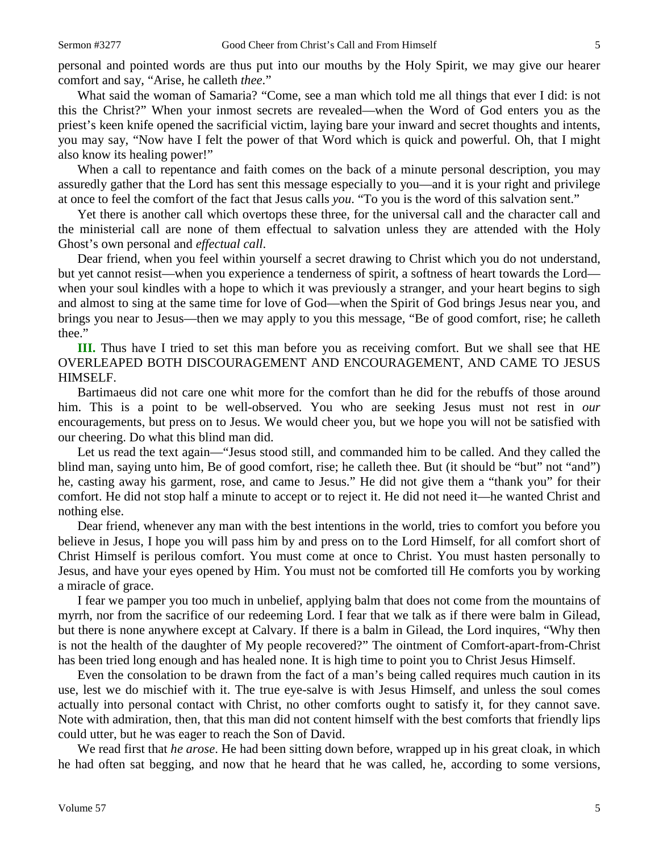personal and pointed words are thus put into our mouths by the Holy Spirit, we may give our hearer comfort and say, "Arise, he calleth *thee*."

What said the woman of Samaria? "Come, see a man which told me all things that ever I did: is not this the Christ?" When your inmost secrets are revealed—when the Word of God enters you as the priest's keen knife opened the sacrificial victim, laying bare your inward and secret thoughts and intents, you may say, "Now have I felt the power of that Word which is quick and powerful. Oh, that I might also know its healing power!"

When a call to repentance and faith comes on the back of a minute personal description, you may assuredly gather that the Lord has sent this message especially to you—and it is your right and privilege at once to feel the comfort of the fact that Jesus calls *you*. "To you is the word of this salvation sent."

Yet there is another call which overtops these three, for the universal call and the character call and the ministerial call are none of them effectual to salvation unless they are attended with the Holy Ghost's own personal and *effectual call*.

Dear friend, when you feel within yourself a secret drawing to Christ which you do not understand, but yet cannot resist—when you experience a tenderness of spirit, a softness of heart towards the Lord when your soul kindles with a hope to which it was previously a stranger, and your heart begins to sigh and almost to sing at the same time for love of God—when the Spirit of God brings Jesus near you, and brings you near to Jesus—then we may apply to you this message, "Be of good comfort, rise; he calleth thee."

**III.** Thus have I tried to set this man before you as receiving comfort. But we shall see that HE OVERLEAPED BOTH DISCOURAGEMENT AND ENCOURAGEMENT, AND CAME TO JESUS HIMSELF.

Bartimaeus did not care one whit more for the comfort than he did for the rebuffs of those around him. This is a point to be well-observed. You who are seeking Jesus must not rest in *our* encouragements, but press on to Jesus. We would cheer you, but we hope you will not be satisfied with our cheering. Do what this blind man did.

Let us read the text again—"Jesus stood still, and commanded him to be called. And they called the blind man, saying unto him, Be of good comfort, rise; he calleth thee. But (it should be "but" not "and") he, casting away his garment, rose, and came to Jesus." He did not give them a "thank you" for their comfort. He did not stop half a minute to accept or to reject it. He did not need it—he wanted Christ and nothing else.

Dear friend, whenever any man with the best intentions in the world, tries to comfort you before you believe in Jesus, I hope you will pass him by and press on to the Lord Himself, for all comfort short of Christ Himself is perilous comfort. You must come at once to Christ. You must hasten personally to Jesus, and have your eyes opened by Him. You must not be comforted till He comforts you by working a miracle of grace.

I fear we pamper you too much in unbelief, applying balm that does not come from the mountains of myrrh, nor from the sacrifice of our redeeming Lord. I fear that we talk as if there were balm in Gilead, but there is none anywhere except at Calvary. If there is a balm in Gilead, the Lord inquires, "Why then is not the health of the daughter of My people recovered?" The ointment of Comfort-apart-from-Christ has been tried long enough and has healed none. It is high time to point you to Christ Jesus Himself.

Even the consolation to be drawn from the fact of a man's being called requires much caution in its use, lest we do mischief with it. The true eye-salve is with Jesus Himself, and unless the soul comes actually into personal contact with Christ, no other comforts ought to satisfy it, for they cannot save. Note with admiration, then, that this man did not content himself with the best comforts that friendly lips could utter, but he was eager to reach the Son of David.

We read first that *he arose*. He had been sitting down before, wrapped up in his great cloak, in which he had often sat begging, and now that he heard that he was called, he, according to some versions,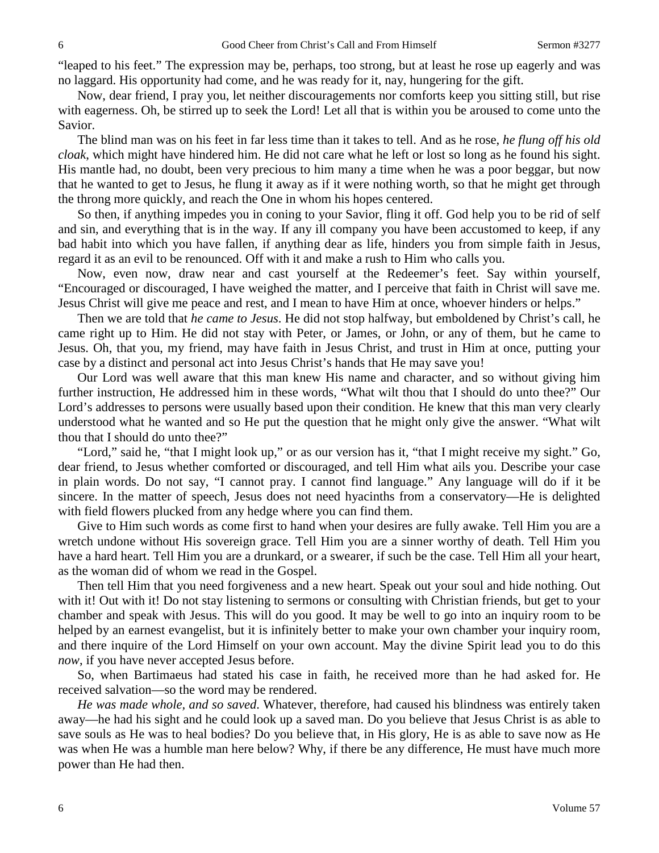"leaped to his feet." The expression may be, perhaps, too strong, but at least he rose up eagerly and was no laggard. His opportunity had come, and he was ready for it, nay, hungering for the gift.

Now, dear friend, I pray you, let neither discouragements nor comforts keep you sitting still, but rise with eagerness. Oh, be stirred up to seek the Lord! Let all that is within you be aroused to come unto the Savior.

The blind man was on his feet in far less time than it takes to tell. And as he rose, *he flung off his old cloak*, which might have hindered him. He did not care what he left or lost so long as he found his sight. His mantle had, no doubt, been very precious to him many a time when he was a poor beggar, but now that he wanted to get to Jesus, he flung it away as if it were nothing worth, so that he might get through the throng more quickly, and reach the One in whom his hopes centered.

So then, if anything impedes you in coning to your Savior, fling it off. God help you to be rid of self and sin, and everything that is in the way. If any ill company you have been accustomed to keep, if any bad habit into which you have fallen, if anything dear as life, hinders you from simple faith in Jesus, regard it as an evil to be renounced. Off with it and make a rush to Him who calls you.

Now, even now, draw near and cast yourself at the Redeemer's feet. Say within yourself, "Encouraged or discouraged, I have weighed the matter, and I perceive that faith in Christ will save me. Jesus Christ will give me peace and rest, and I mean to have Him at once, whoever hinders or helps."

Then we are told that *he came to Jesus*. He did not stop halfway, but emboldened by Christ's call, he came right up to Him. He did not stay with Peter, or James, or John, or any of them, but he came to Jesus. Oh, that you, my friend, may have faith in Jesus Christ, and trust in Him at once, putting your case by a distinct and personal act into Jesus Christ's hands that He may save you!

Our Lord was well aware that this man knew His name and character, and so without giving him further instruction, He addressed him in these words, "What wilt thou that I should do unto thee?" Our Lord's addresses to persons were usually based upon their condition. He knew that this man very clearly understood what he wanted and so He put the question that he might only give the answer. "What wilt thou that I should do unto thee?"

"Lord," said he, "that I might look up," or as our version has it, "that I might receive my sight." Go, dear friend, to Jesus whether comforted or discouraged, and tell Him what ails you. Describe your case in plain words. Do not say, "I cannot pray. I cannot find language." Any language will do if it be sincere. In the matter of speech, Jesus does not need hyacinths from a conservatory—He is delighted with field flowers plucked from any hedge where you can find them.

Give to Him such words as come first to hand when your desires are fully awake. Tell Him you are a wretch undone without His sovereign grace. Tell Him you are a sinner worthy of death. Tell Him you have a hard heart. Tell Him you are a drunkard, or a swearer, if such be the case. Tell Him all your heart, as the woman did of whom we read in the Gospel.

Then tell Him that you need forgiveness and a new heart. Speak out your soul and hide nothing. Out with it! Out with it! Do not stay listening to sermons or consulting with Christian friends, but get to your chamber and speak with Jesus. This will do you good. It may be well to go into an inquiry room to be helped by an earnest evangelist, but it is infinitely better to make your own chamber your inquiry room, and there inquire of the Lord Himself on your own account. May the divine Spirit lead you to do this *now*, if you have never accepted Jesus before.

So, when Bartimaeus had stated his case in faith, he received more than he had asked for. He received salvation—so the word may be rendered.

*He was made whole, and so saved*. Whatever, therefore, had caused his blindness was entirely taken away—he had his sight and he could look up a saved man. Do you believe that Jesus Christ is as able to save souls as He was to heal bodies? Do you believe that, in His glory, He is as able to save now as He was when He was a humble man here below? Why, if there be any difference, He must have much more power than He had then.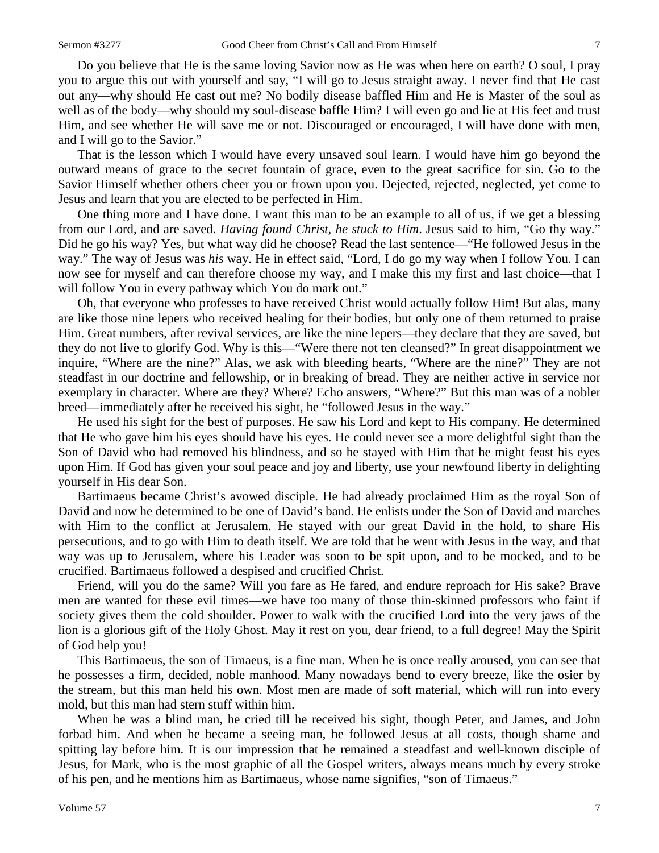Do you believe that He is the same loving Savior now as He was when here on earth? O soul, I pray you to argue this out with yourself and say, "I will go to Jesus straight away. I never find that He cast out any—why should He cast out me? No bodily disease baffled Him and He is Master of the soul as well as of the body—why should my soul-disease baffle Him? I will even go and lie at His feet and trust Him, and see whether He will save me or not. Discouraged or encouraged, I will have done with men, and I will go to the Savior."

That is the lesson which I would have every unsaved soul learn. I would have him go beyond the outward means of grace to the secret fountain of grace, even to the great sacrifice for sin. Go to the Savior Himself whether others cheer you or frown upon you. Dejected, rejected, neglected, yet come to Jesus and learn that you are elected to be perfected in Him.

One thing more and I have done. I want this man to be an example to all of us, if we get a blessing from our Lord, and are saved. *Having found Christ, he stuck to Him*. Jesus said to him, "Go thy way." Did he go his way? Yes, but what way did he choose? Read the last sentence—"He followed Jesus in the way." The way of Jesus was *his* way. He in effect said, "Lord, I do go my way when I follow You. I can now see for myself and can therefore choose my way, and I make this my first and last choice—that I will follow You in every pathway which You do mark out."

Oh, that everyone who professes to have received Christ would actually follow Him! But alas, many are like those nine lepers who received healing for their bodies, but only one of them returned to praise Him. Great numbers, after revival services, are like the nine lepers—they declare that they are saved, but they do not live to glorify God. Why is this—"Were there not ten cleansed?" In great disappointment we inquire, "Where are the nine?" Alas, we ask with bleeding hearts, "Where are the nine?" They are not steadfast in our doctrine and fellowship, or in breaking of bread. They are neither active in service nor exemplary in character. Where are they? Where? Echo answers, "Where?" But this man was of a nobler breed—immediately after he received his sight, he "followed Jesus in the way."

He used his sight for the best of purposes. He saw his Lord and kept to His company. He determined that He who gave him his eyes should have his eyes. He could never see a more delightful sight than the Son of David who had removed his blindness, and so he stayed with Him that he might feast his eyes upon Him. If God has given your soul peace and joy and liberty, use your newfound liberty in delighting yourself in His dear Son.

Bartimaeus became Christ's avowed disciple. He had already proclaimed Him as the royal Son of David and now he determined to be one of David's band. He enlists under the Son of David and marches with Him to the conflict at Jerusalem. He stayed with our great David in the hold, to share His persecutions, and to go with Him to death itself. We are told that he went with Jesus in the way, and that way was up to Jerusalem, where his Leader was soon to be spit upon, and to be mocked, and to be crucified. Bartimaeus followed a despised and crucified Christ.

Friend, will you do the same? Will you fare as He fared, and endure reproach for His sake? Brave men are wanted for these evil times—we have too many of those thin-skinned professors who faint if society gives them the cold shoulder. Power to walk with the crucified Lord into the very jaws of the lion is a glorious gift of the Holy Ghost. May it rest on you, dear friend, to a full degree! May the Spirit of God help you!

This Bartimaeus, the son of Timaeus, is a fine man. When he is once really aroused, you can see that he possesses a firm, decided, noble manhood. Many nowadays bend to every breeze, like the osier by the stream, but this man held his own. Most men are made of soft material, which will run into every mold, but this man had stern stuff within him.

When he was a blind man, he cried till he received his sight, though Peter, and James, and John forbad him. And when he became a seeing man, he followed Jesus at all costs, though shame and spitting lay before him. It is our impression that he remained a steadfast and well-known disciple of Jesus, for Mark, who is the most graphic of all the Gospel writers, always means much by every stroke of his pen, and he mentions him as Bartimaeus, whose name signifies, "son of Timaeus."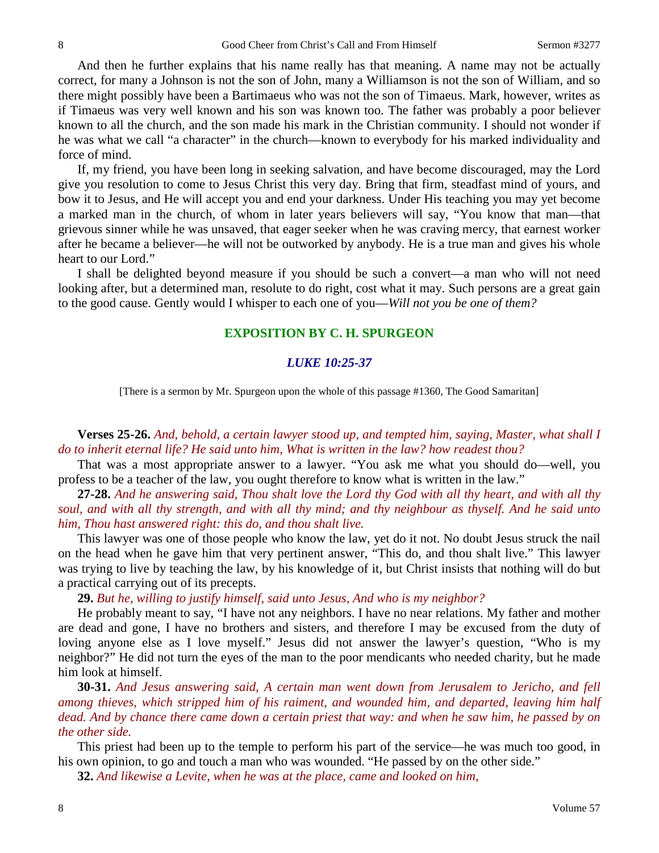And then he further explains that his name really has that meaning. A name may not be actually correct, for many a Johnson is not the son of John, many a Williamson is not the son of William, and so there might possibly have been a Bartimaeus who was not the son of Timaeus. Mark, however, writes as if Timaeus was very well known and his son was known too. The father was probably a poor believer known to all the church, and the son made his mark in the Christian community. I should not wonder if he was what we call "a character" in the church—known to everybody for his marked individuality and force of mind.

If, my friend, you have been long in seeking salvation, and have become discouraged, may the Lord give you resolution to come to Jesus Christ this very day. Bring that firm, steadfast mind of yours, and bow it to Jesus, and He will accept you and end your darkness. Under His teaching you may yet become a marked man in the church, of whom in later years believers will say, "You know that man—that grievous sinner while he was unsaved, that eager seeker when he was craving mercy, that earnest worker after he became a believer—he will not be outworked by anybody. He is a true man and gives his whole heart to our Lord."

I shall be delighted beyond measure if you should be such a convert—a man who will not need looking after, but a determined man, resolute to do right, cost what it may. Such persons are a great gain to the good cause. Gently would I whisper to each one of you—*Will not you be one of them?*

### **EXPOSITION BY C. H. SPURGEON**

## *LUKE 10:25-37*

[There is a sermon by Mr. Spurgeon upon the whole of this passage #1360, The Good Samaritan]

**Verses 25-26.** *And, behold, a certain lawyer stood up, and tempted him, saying, Master, what shall I do to inherit eternal life? He said unto him, What is written in the law? how readest thou?*

That was a most appropriate answer to a lawyer. "You ask me what you should do—well, you profess to be a teacher of the law, you ought therefore to know what is written in the law."

**27-28.** *And he answering said, Thou shalt love the Lord thy God with all thy heart, and with all thy soul, and with all thy strength, and with all thy mind; and thy neighbour as thyself. And he said unto him, Thou hast answered right: this do, and thou shalt live.*

This lawyer was one of those people who know the law, yet do it not. No doubt Jesus struck the nail on the head when he gave him that very pertinent answer, "This do, and thou shalt live." This lawyer was trying to live by teaching the law, by his knowledge of it, but Christ insists that nothing will do but a practical carrying out of its precepts.

**29.** *But he, willing to justify himself, said unto Jesus, And who is my neighbor?*

He probably meant to say, "I have not any neighbors. I have no near relations. My father and mother are dead and gone, I have no brothers and sisters, and therefore I may be excused from the duty of loving anyone else as I love myself." Jesus did not answer the lawyer's question, "Who is my neighbor?" He did not turn the eyes of the man to the poor mendicants who needed charity, but he made him look at himself.

**30-31.** *And Jesus answering said, A certain man went down from Jerusalem to Jericho, and fell among thieves, which stripped him of his raiment, and wounded him, and departed, leaving him half dead. And by chance there came down a certain priest that way: and when he saw him, he passed by on the other side.*

This priest had been up to the temple to perform his part of the service—he was much too good, in his own opinion, to go and touch a man who was wounded. "He passed by on the other side."

**32.** *And likewise a Levite, when he was at the place, came and looked on him,*